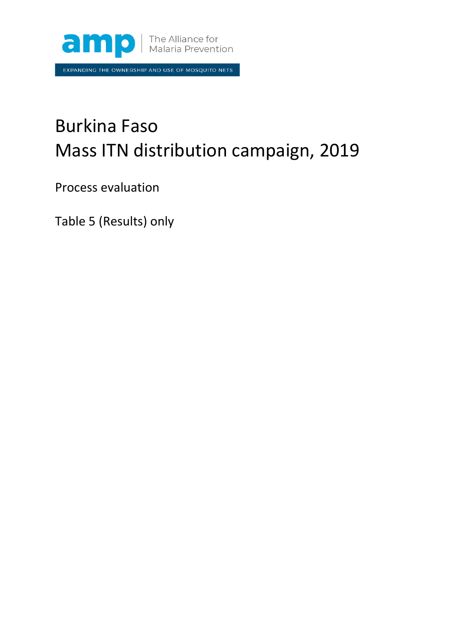

EXPANDING THE OWNERSHIP AND USE OF MOSQUITO NETS

## Burkina Faso Mass ITN distribution campaign, 2019

Process evaluation

Table 5 (Results) only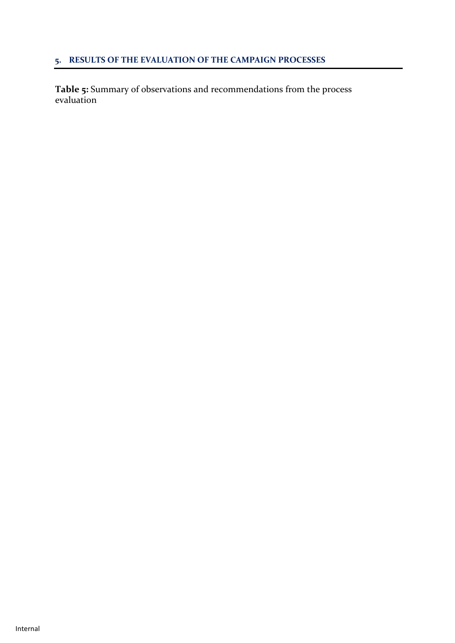## **5. RESULTS OF THE EVALUATION OF THE CAMPAIGN PROCESSES**

**Table 5:** Summary of observations and recommendations from the process evaluation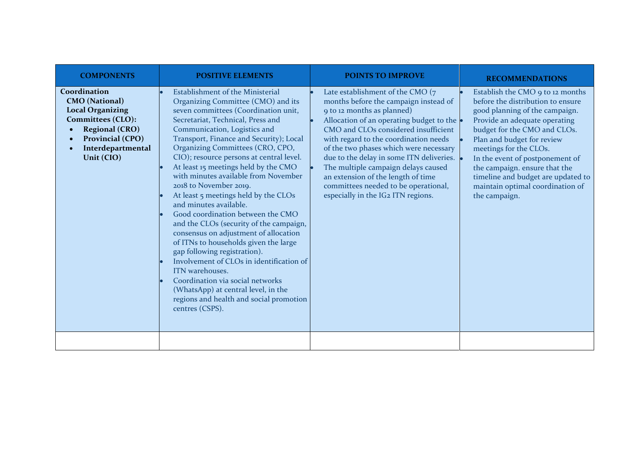| <b>COMPONENTS</b>                                                                                                                                                     | <b>POSITIVE ELEMENTS</b>                                                                                                                                                                                                                                                                                                                                                                                                                                                                                                                                                                                                                                                                                                                                                                                                                                                                                    | <b>POINTS TO IMPROVE</b>                                                                                                                                                                                                                                                                                                                                                                                                                                                                | <b>RECOMMENDATIONS</b>                                                                                                                                                                                                                                                                                                                                                                          |
|-----------------------------------------------------------------------------------------------------------------------------------------------------------------------|-------------------------------------------------------------------------------------------------------------------------------------------------------------------------------------------------------------------------------------------------------------------------------------------------------------------------------------------------------------------------------------------------------------------------------------------------------------------------------------------------------------------------------------------------------------------------------------------------------------------------------------------------------------------------------------------------------------------------------------------------------------------------------------------------------------------------------------------------------------------------------------------------------------|-----------------------------------------------------------------------------------------------------------------------------------------------------------------------------------------------------------------------------------------------------------------------------------------------------------------------------------------------------------------------------------------------------------------------------------------------------------------------------------------|-------------------------------------------------------------------------------------------------------------------------------------------------------------------------------------------------------------------------------------------------------------------------------------------------------------------------------------------------------------------------------------------------|
| Coordination<br><b>CMO</b> (National)<br><b>Local Organizing</b><br>Committees (CLO):<br><b>Regional (CRO)</b><br>Provincial (CPO)<br>Interdepartmental<br>Unit (CIO) | <b>Establishment of the Ministerial</b><br>Organizing Committee (CMO) and its<br>seven committees (Coordination unit,<br>Secretariat, Technical, Press and<br>Communication, Logistics and<br>Transport, Finance and Security); Local<br>Organizing Committees (CRO, CPO,<br>CIO); resource persons at central level.<br>At least 15 meetings held by the CMO<br>with minutes available from November<br>2018 to November 2019.<br>At least 5 meetings held by the CLOs<br>and minutes available.<br>Good coordination between the CMO<br>and the CLOs (security of the campaign,<br>consensus on adjustment of allocation<br>of ITNs to households given the large<br>gap following registration).<br>Involvement of CLOs in identification of<br>ITN warehouses.<br>Coordination via social networks<br>(WhatsApp) at central level, in the<br>regions and health and social promotion<br>centres (CSPS). | Late establishment of the CMO (7<br>months before the campaign instead of<br>9 to 12 months as planned)<br>Allocation of an operating budget to the<br>CMO and CLOs considered insufficient<br>with regard to the coordination needs<br>of the two phases which were necessary<br>due to the delay in some ITN deliveries. .<br>The multiple campaign delays caused<br>an extension of the length of time<br>committees needed to be operational,<br>especially in the IG2 ITN regions. | Establish the CMO 9 to 12 months<br>before the distribution to ensure<br>good planning of the campaign.<br>Provide an adequate operating<br>budget for the CMO and CLOs.<br>Plan and budget for review<br>meetings for the CLOs.<br>In the event of postponement of<br>the campaign. ensure that the<br>timeline and budget are updated to<br>maintain optimal coordination of<br>the campaign. |
|                                                                                                                                                                       |                                                                                                                                                                                                                                                                                                                                                                                                                                                                                                                                                                                                                                                                                                                                                                                                                                                                                                             |                                                                                                                                                                                                                                                                                                                                                                                                                                                                                         |                                                                                                                                                                                                                                                                                                                                                                                                 |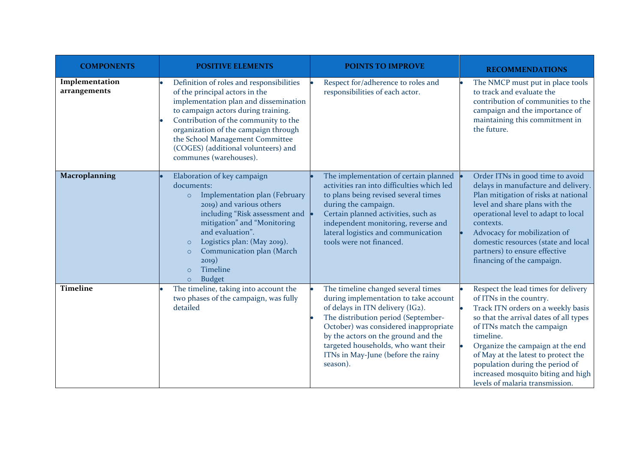| <b>COMPONENTS</b>              | <b>POSITIVE ELEMENTS</b>                                                                                                                                                                                                                                                                                                                              | <b>POINTS TO IMPROVE</b>                                                                                                                                                                                                                                                                                                        | <b>RECOMMENDATIONS</b>                                                                                                                                                                                                                                                                                                                                                           |
|--------------------------------|-------------------------------------------------------------------------------------------------------------------------------------------------------------------------------------------------------------------------------------------------------------------------------------------------------------------------------------------------------|---------------------------------------------------------------------------------------------------------------------------------------------------------------------------------------------------------------------------------------------------------------------------------------------------------------------------------|----------------------------------------------------------------------------------------------------------------------------------------------------------------------------------------------------------------------------------------------------------------------------------------------------------------------------------------------------------------------------------|
| Implementation<br>arrangements | Definition of roles and responsibilities<br>of the principal actors in the<br>implementation plan and dissemination<br>to campaign actors during training.<br>Contribution of the community to the<br>organization of the campaign through<br>the School Management Committee<br>(COGES) (additional volunteers) and<br>communes (warehouses).        | Respect for/adherence to roles and<br>responsibilities of each actor.                                                                                                                                                                                                                                                           | The NMCP must put in place tools<br>to track and evaluate the<br>contribution of communities to the<br>campaign and the importance of<br>maintaining this commitment in<br>the future.                                                                                                                                                                                           |
| Macroplanning                  | Elaboration of key campaign<br>documents:<br>Implementation plan (February<br>$\circ$<br>2019) and various others<br>including "Risk assessment and<br>mitigation" and "Monitoring<br>and evaluation".<br>Logistics plan: (May 2019).<br>$\circ$<br>Communication plan (March<br>$\circ$<br>2019)<br>Timeline<br>$\Omega$<br><b>Budget</b><br>$\circ$ | The implementation of certain planned<br>activities ran into difficulties which led<br>to plans being revised several times<br>during the campaign.<br>Certain planned activities, such as<br>independent monitoring, reverse and<br>lateral logistics and communication<br>tools were not financed.                            | Order ITNs in good time to avoid<br>delays in manufacture and delivery.<br>Plan mitigation of risks at national<br>level and share plans with the<br>operational level to adapt to local<br>contexts.<br>Advocacy for mobilization of<br>domestic resources (state and local<br>partners) to ensure effective<br>financing of the campaign.                                      |
| <b>Timeline</b>                | The timeline, taking into account the<br>two phases of the campaign, was fully<br>detailed                                                                                                                                                                                                                                                            | The timeline changed several times<br>during implementation to take account<br>of delays in ITN delivery (IG2).<br>The distribution period (September-<br>October) was considered inappropriate<br>by the actors on the ground and the<br>targeted households, who want their<br>ITNs in May-June (before the rainy<br>season). | Respect the lead times for delivery<br>of ITNs in the country.<br>Track ITN orders on a weekly basis<br>so that the arrival dates of all types<br>of ITNs match the campaign<br>timeline.<br>Organize the campaign at the end<br>of May at the latest to protect the<br>population during the period of<br>increased mosquito biting and high<br>levels of malaria transmission. |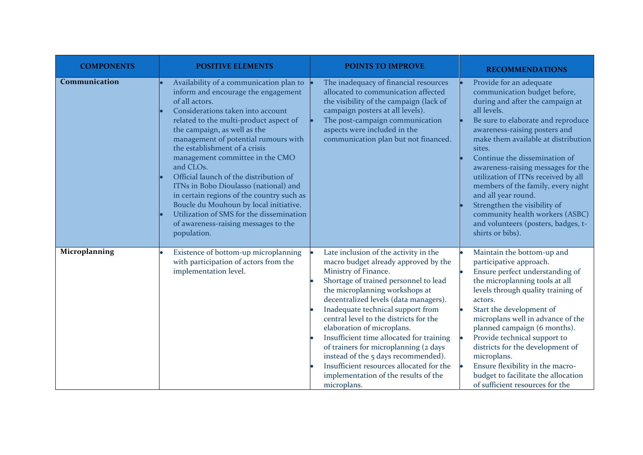| <b>COMPONENTS</b> | <b>POSITIVE ELEMENTS</b>                                                                                                                                                                                                                                                                                                                                                                                                                                                                                                                                                                                              | <b>POINTS TO IMPROVE</b>                                                                                                                                                                                                                                                                                                                                                                                                                                                                                                                                              | <b>RECOMMENDATIONS</b>                                                                                                                                                                                                                                                                                                                                                                                                                                                                                                                      |
|-------------------|-----------------------------------------------------------------------------------------------------------------------------------------------------------------------------------------------------------------------------------------------------------------------------------------------------------------------------------------------------------------------------------------------------------------------------------------------------------------------------------------------------------------------------------------------------------------------------------------------------------------------|-----------------------------------------------------------------------------------------------------------------------------------------------------------------------------------------------------------------------------------------------------------------------------------------------------------------------------------------------------------------------------------------------------------------------------------------------------------------------------------------------------------------------------------------------------------------------|---------------------------------------------------------------------------------------------------------------------------------------------------------------------------------------------------------------------------------------------------------------------------------------------------------------------------------------------------------------------------------------------------------------------------------------------------------------------------------------------------------------------------------------------|
| Communication     | Availability of a communication plan to<br>inform and encourage the engagement<br>of all actors.<br>Considerations taken into account<br>related to the multi-product aspect of<br>the campaign, as well as the<br>management of potential rumours with<br>the establishment of a crisis<br>management committee in the CMO<br>and CLOs.<br>Official launch of the distribution of<br>ITNs in Bobo Dioulasso (national) and<br>in certain regions of the country such as<br>Boucle du Mouhoun by local initiative.<br>Utilization of SMS for the dissemination<br>of awareness-raising messages to the<br>population. | The inadequacy of financial resources<br>allocated to communication affected<br>the visibility of the campaign (lack of<br>campaign posters at all levels).<br>The post-campaign communication<br>aspects were included in the<br>communication plan but not financed.                                                                                                                                                                                                                                                                                                | Provide for an adequate<br>communication budget before,<br>during and after the campaign at<br>all levels.<br>Be sure to elaborate and reproduce<br>awareness-raising posters and<br>make them available at distribution<br>sites.<br>Continue the dissemination of<br>awareness-raising messages for the<br>utilization of ITNs received by all<br>members of the family, every night<br>and all year round.<br>Strengthen the visibility of<br>community health workers (ASBC)<br>and volunteers (posters, badges, t-<br>shirts or bibs). |
| Microplanning     | Existence of bottom-up microplanning<br>with participation of actors from the<br>implementation level.                                                                                                                                                                                                                                                                                                                                                                                                                                                                                                                | Late inclusion of the activity in the<br>macro budget already approved by the<br>Ministry of Finance.<br>Shortage of trained personnel to lead<br>the microplanning workshops at<br>decentralized levels (data managers).<br>Inadequate technical support from<br>central level to the districts for the<br>elaboration of microplans.<br>Insufficient time allocated for training<br>of trainers for microplanning (2 days<br>instead of the 5 days recommended).<br>Insufficient resources allocated for the<br>implementation of the results of the<br>microplans. | Maintain the bottom-up and<br>participative approach.<br>Ensure perfect understanding of<br>the microplanning tools at all<br>levels through quality training of<br>actors.<br>Start the development of<br>microplans well in advance of the<br>planned campaign (6 months).<br>Provide technical support to<br>$\bullet$<br>districts for the development of<br>microplans.<br>Ensure flexibility in the macro-<br>$\bullet$<br>budget to facilitate the allocation<br>of sufficient resources for the                                     |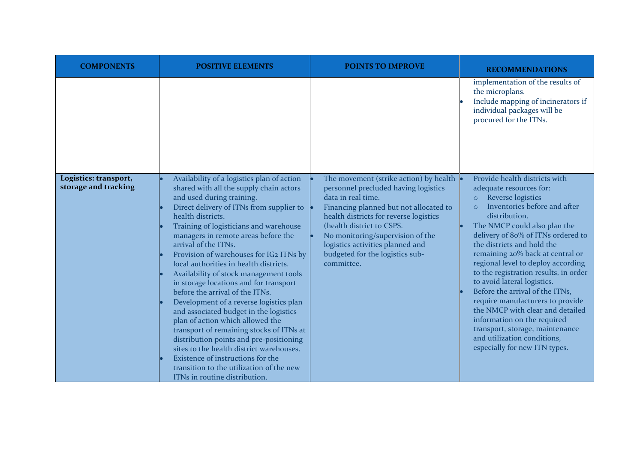| <b>COMPONENTS</b>                             | <b>POSITIVE ELEMENTS</b>                                                                                                                                                                                                                                                                                                                                                                                                                                                                                                                                                                                                                                                                                                                                                                                                                                                               | <b>POINTS TO IMPROVE</b>                                                                                                                                                                                                                                                                                                                         | <b>RECOMMENDATIONS</b>                                                                                                                                                                                                                                                                                                                                                                                                                                                                                                                                                                                                                                  |
|-----------------------------------------------|----------------------------------------------------------------------------------------------------------------------------------------------------------------------------------------------------------------------------------------------------------------------------------------------------------------------------------------------------------------------------------------------------------------------------------------------------------------------------------------------------------------------------------------------------------------------------------------------------------------------------------------------------------------------------------------------------------------------------------------------------------------------------------------------------------------------------------------------------------------------------------------|--------------------------------------------------------------------------------------------------------------------------------------------------------------------------------------------------------------------------------------------------------------------------------------------------------------------------------------------------|---------------------------------------------------------------------------------------------------------------------------------------------------------------------------------------------------------------------------------------------------------------------------------------------------------------------------------------------------------------------------------------------------------------------------------------------------------------------------------------------------------------------------------------------------------------------------------------------------------------------------------------------------------|
|                                               |                                                                                                                                                                                                                                                                                                                                                                                                                                                                                                                                                                                                                                                                                                                                                                                                                                                                                        |                                                                                                                                                                                                                                                                                                                                                  | implementation of the results of<br>the microplans.<br>Include mapping of incinerators if<br>individual packages will be<br>procured for the ITNs.                                                                                                                                                                                                                                                                                                                                                                                                                                                                                                      |
| Logistics: transport,<br>storage and tracking | Availability of a logistics plan of action<br>shared with all the supply chain actors<br>and used during training.<br>Direct delivery of ITNs from supplier to<br>health districts.<br>Training of logisticians and warehouse<br>managers in remote areas before the<br>arrival of the ITNs.<br>Provision of warehouses for IG2 ITNs by<br>local authorities in health districts.<br>Availability of stock management tools<br>in storage locations and for transport<br>before the arrival of the ITNs.<br>Development of a reverse logistics plan<br>and associated budget in the logistics<br>plan of action which allowed the<br>transport of remaining stocks of ITNs at<br>distribution points and pre-positioning<br>sites to the health district warehouses.<br>Existence of instructions for the<br>transition to the utilization of the new<br>ITNs in routine distribution. | The movement (strike action) by health •<br>personnel precluded having logistics<br>data in real time.<br>Financing planned but not allocated to<br>health districts for reverse logistics<br>(health district to CSPS.<br>No monitoring/supervision of the<br>logistics activities planned and<br>budgeted for the logistics sub-<br>committee. | Provide health districts with<br>adequate resources for:<br>Reverse logistics<br>$\circ$<br>Inventories before and after<br>$\circ$<br>distribution.<br>The NMCP could also plan the<br>delivery of 80% of ITNs ordered to<br>the districts and hold the<br>remaining 20% back at central or<br>regional level to deploy according<br>to the registration results, in order<br>to avoid lateral logistics.<br>Before the arrival of the ITNs,<br>require manufacturers to provide<br>the NMCP with clear and detailed<br>information on the required<br>transport, storage, maintenance<br>and utilization conditions,<br>especially for new ITN types. |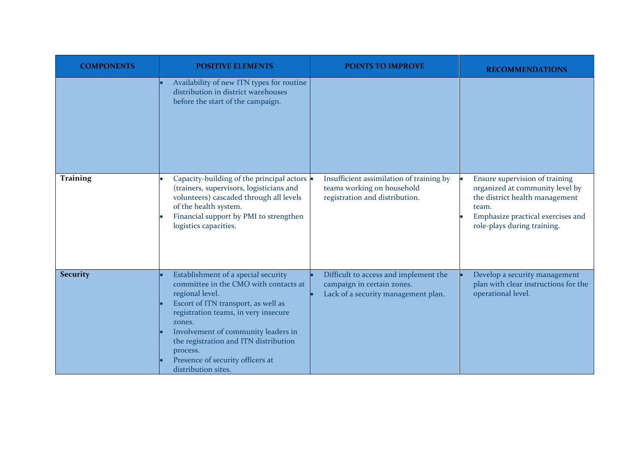| <b>COMPONENTS</b> | <b>POSITIVE ELEMENTS</b>                                                                                                                                                                                                                                                                                                                        | <b>POINTS TO IMPROVE</b>                                                                                   | <b>RECOMMENDATIONS</b>                                                                                                                                                           |
|-------------------|-------------------------------------------------------------------------------------------------------------------------------------------------------------------------------------------------------------------------------------------------------------------------------------------------------------------------------------------------|------------------------------------------------------------------------------------------------------------|----------------------------------------------------------------------------------------------------------------------------------------------------------------------------------|
|                   | Availability of new ITN types for routine<br>distribution in district warehouses<br>before the start of the campaign.                                                                                                                                                                                                                           |                                                                                                            |                                                                                                                                                                                  |
| <b>Training</b>   | Capacity-building of the principal actors<br>(trainers, supervisors, logisticians and<br>volunteers) cascaded through all levels<br>of the health system.<br>Financial support by PMI to strengthen<br>logistics capacities.                                                                                                                    | Insufficient assimilation of training by<br>teams working on household<br>registration and distribution.   | Ensure supervision of training<br>organized at community level by<br>the district health management<br>team.<br>Emphasize practical exercises and<br>role-plays during training. |
| <b>Security</b>   | Establishment of a special security<br>committee in the CMO with contacts at<br>regional level.<br>Escort of ITN transport, as well as<br>registration teams, in very insecure<br>zones.<br>Involvement of community leaders in<br>the registration and ITN distribution<br>process.<br>Presence of security officers at<br>distribution sites. | Difficult to access and implement the<br>campaign in certain zones.<br>Lack of a security management plan. | Develop a security management<br>plan with clear instructions for the<br>operational level.                                                                                      |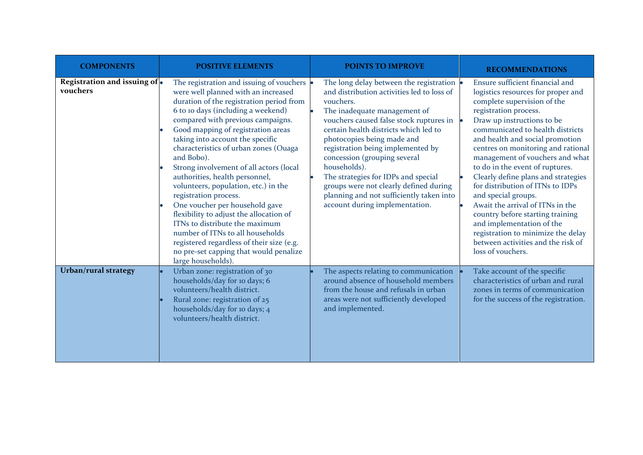| <b>COMPONENTS</b>                        | <b>POSITIVE ELEMENTS</b>                                                                                                                                                                                                                                                                                                                                                                                                                                                                                                                                                                                                                                                                                                                                | <b>POINTS TO IMPROVE</b>                                                                                                                                                                                                                                                                                                                                                                                                                                                                                   | <b>RECOMMENDATIONS</b>                                                                                                                                                                                                                                                                                                                                                                                                                                                                                                                                                                                                                                 |
|------------------------------------------|---------------------------------------------------------------------------------------------------------------------------------------------------------------------------------------------------------------------------------------------------------------------------------------------------------------------------------------------------------------------------------------------------------------------------------------------------------------------------------------------------------------------------------------------------------------------------------------------------------------------------------------------------------------------------------------------------------------------------------------------------------|------------------------------------------------------------------------------------------------------------------------------------------------------------------------------------------------------------------------------------------------------------------------------------------------------------------------------------------------------------------------------------------------------------------------------------------------------------------------------------------------------------|--------------------------------------------------------------------------------------------------------------------------------------------------------------------------------------------------------------------------------------------------------------------------------------------------------------------------------------------------------------------------------------------------------------------------------------------------------------------------------------------------------------------------------------------------------------------------------------------------------------------------------------------------------|
| Registration and issuing of.<br>vouchers | The registration and issuing of vouchers  <br>were well planned with an increased<br>duration of the registration period from<br>6 to 10 days (including a weekend)<br>compared with previous campaigns.<br>Good mapping of registration areas<br>taking into account the specific<br>characteristics of urban zones (Ouaga<br>and Bobo).<br>Strong involvement of all actors (local<br>authorities, health personnel,<br>volunteers, population, etc.) in the<br>registration process.<br>One voucher per household gave<br>flexibility to adjust the allocation of<br>ITNs to distribute the maximum<br>number of ITNs to all households<br>registered regardless of their size (e.g.<br>no pre-set capping that would penalize<br>large households). | The long delay between the registration .<br>and distribution activities led to loss of<br>vouchers.<br>The inadequate management of<br>vouchers caused false stock ruptures in<br>certain health districts which led to<br>photocopies being made and<br>registration being implemented by<br>concession (grouping several<br>households).<br>The strategies for IDPs and special<br>groups were not clearly defined during<br>planning and not sufficiently taken into<br>account during implementation. | Ensure sufficient financial and<br>logistics resources for proper and<br>complete supervision of the<br>registration process.<br>Draw up instructions to be<br>communicated to health districts<br>and health and social promotion<br>centres on monitoring and rational<br>management of vouchers and what<br>to do in the event of ruptures.<br>Clearly define plans and strategies<br>for distribution of ITNs to IDPs<br>and special groups.<br>Await the arrival of ITNs in the<br>country before starting training<br>and implementation of the<br>registration to minimize the delay<br>between activities and the risk of<br>loss of vouchers. |
| <b>Urban/rural strategy</b>              | Urban zone: registration of 30<br>households/day for 10 days; 6<br>volunteers/health district.<br>Rural zone: registration of 25<br>households/day for 10 days; 4<br>volunteers/health district.                                                                                                                                                                                                                                                                                                                                                                                                                                                                                                                                                        | The aspects relating to communication<br>around absence of household members<br>from the house and refusals in urban<br>areas were not sufficiently developed<br>and implemented.                                                                                                                                                                                                                                                                                                                          | Take account of the specific<br>characteristics of urban and rural<br>zones in terms of communication<br>for the success of the registration.                                                                                                                                                                                                                                                                                                                                                                                                                                                                                                          |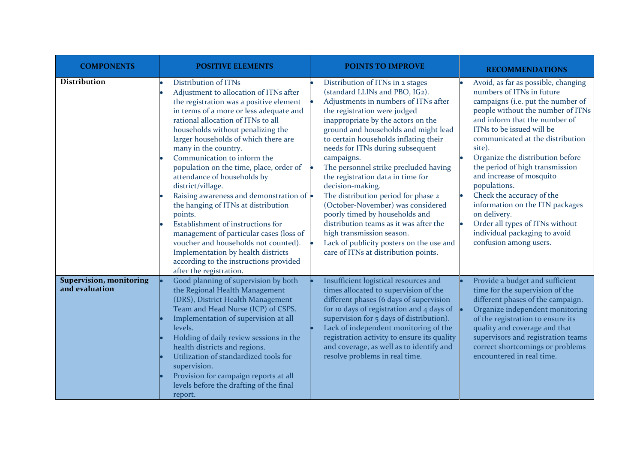| <b>COMPONENTS</b>                                | <b>POSITIVE ELEMENTS</b>                                                                                                                                                                                                                                                                                                                                                                                                                                                                                                                                                                                                                                                                                                                                               | <b>POINTS TO IMPROVE</b>                                                                                                                                                                                                                                                                                                                                                                                                                                                                                                                                                                                                                                                                       | <b>RECOMMENDATIONS</b>                                                                                                                                                                                                                                                                                                                                                                                                                                                                                                                                  |
|--------------------------------------------------|------------------------------------------------------------------------------------------------------------------------------------------------------------------------------------------------------------------------------------------------------------------------------------------------------------------------------------------------------------------------------------------------------------------------------------------------------------------------------------------------------------------------------------------------------------------------------------------------------------------------------------------------------------------------------------------------------------------------------------------------------------------------|------------------------------------------------------------------------------------------------------------------------------------------------------------------------------------------------------------------------------------------------------------------------------------------------------------------------------------------------------------------------------------------------------------------------------------------------------------------------------------------------------------------------------------------------------------------------------------------------------------------------------------------------------------------------------------------------|---------------------------------------------------------------------------------------------------------------------------------------------------------------------------------------------------------------------------------------------------------------------------------------------------------------------------------------------------------------------------------------------------------------------------------------------------------------------------------------------------------------------------------------------------------|
| <b>Distribution</b>                              | Distribution of ITNs<br>Adjustment to allocation of ITNs after<br>the registration was a positive element<br>in terms of a more or less adequate and<br>rational allocation of ITNs to all<br>households without penalizing the<br>larger households of which there are<br>many in the country.<br>Communication to inform the<br>population on the time, place, order of<br>attendance of households by<br>district/village.<br>Raising awareness and demonstration of $\bullet$<br>the hanging of ITNs at distribution<br>points.<br>Establishment of instructions for<br>management of particular cases (loss of<br>voucher and households not counted).<br>Implementation by health districts<br>according to the instructions provided<br>after the registration. | Distribution of ITNs in 2 stages<br>(standard LLINs and PBO, IG2).<br>Adjustments in numbers of ITNs after<br>the registration were judged<br>inappropriate by the actors on the<br>ground and households and might lead<br>to certain households inflating their<br>needs for ITNs during subsequent<br>campaigns.<br>The personnel strike precluded having<br>the registration data in time for<br>decision-making.<br>The distribution period for phase 2<br>(October-November) was considered<br>poorly timed by households and<br>distribution teams as it was after the<br>high transmission season.<br>Lack of publicity posters on the use and<br>care of ITNs at distribution points. | Avoid, as far as possible, changing<br>numbers of ITNs in future<br>campaigns (i.e. put the number of<br>people without the number of ITNs<br>and inform that the number of<br>ITNs to be issued will be<br>communicated at the distribution<br>site).<br>Organize the distribution before<br>the period of high transmission<br>and increase of mosquito<br>populations.<br>Check the accuracy of the<br>information on the ITN packages<br>on delivery.<br>Order all types of ITNs without<br>individual packaging to avoid<br>confusion among users. |
| <b>Supervision, monitoring</b><br>and evaluation | Good planning of supervision by both<br>the Regional Health Management<br>(DRS), District Health Management<br>Team and Head Nurse (ICP) of CSPS.<br>Implementation of supervision at all<br>levels.<br>Holding of daily review sessions in the<br>health districts and regions.<br>Utilization of standardized tools for<br>supervision.<br>Provision for campaign reports at all<br>levels before the drafting of the final<br>report.                                                                                                                                                                                                                                                                                                                               | Insufficient logistical resources and<br>times allocated to supervision of the<br>different phases (6 days of supervision<br>for 10 days of registration and 4 days of<br>supervision for 5 days of distribution).<br>Lack of independent monitoring of the<br>registration activity to ensure its quality<br>and coverage, as well as to identify and<br>resolve problems in real time.                                                                                                                                                                                                                                                                                                       | Provide a budget and sufficient<br>time for the supervision of the<br>different phases of the campaign.<br>Organize independent monitoring<br>of the registration to ensure its<br>quality and coverage and that<br>supervisors and registration teams<br>correct shortcomings or problems<br>encountered in real time.                                                                                                                                                                                                                                 |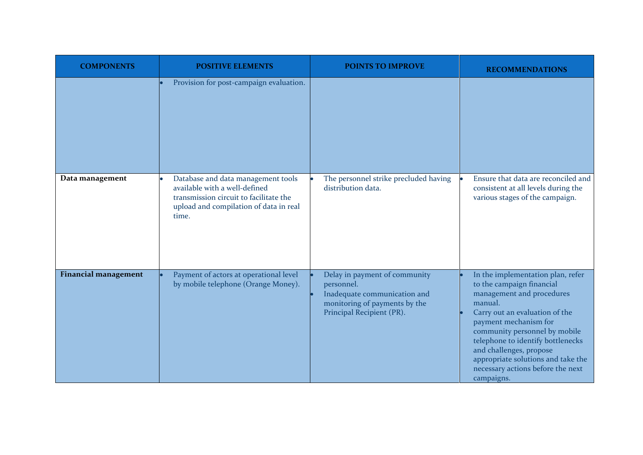| <b>COMPONENTS</b>           | <b>POSITIVE ELEMENTS</b>                                                                                                                                         | <b>POINTS TO IMPROVE</b>                                                                                                                  | <b>RECOMMENDATIONS</b>                                                                                                                                                                                                                                                                                                                                      |
|-----------------------------|------------------------------------------------------------------------------------------------------------------------------------------------------------------|-------------------------------------------------------------------------------------------------------------------------------------------|-------------------------------------------------------------------------------------------------------------------------------------------------------------------------------------------------------------------------------------------------------------------------------------------------------------------------------------------------------------|
|                             | Provision for post-campaign evaluation.                                                                                                                          |                                                                                                                                           |                                                                                                                                                                                                                                                                                                                                                             |
| Data management             | Database and data management tools<br>available with a well-defined<br>transmission circuit to facilitate the<br>upload and compilation of data in real<br>time. | The personnel strike precluded having<br>distribution data.                                                                               | Ensure that data are reconciled and<br>consistent at all levels during the<br>various stages of the campaign.                                                                                                                                                                                                                                               |
| <b>Financial management</b> | Payment of actors at operational level<br>by mobile telephone (Orange Money).                                                                                    | Delay in payment of community<br>personnel.<br>Inadequate communication and<br>monitoring of payments by the<br>Principal Recipient (PR). | In the implementation plan, refer<br>to the campaign financial<br>management and procedures<br>manual.<br>Carry out an evaluation of the<br>payment mechanism for<br>community personnel by mobile<br>telephone to identify bottlenecks<br>and challenges, propose<br>appropriate solutions and take the<br>necessary actions before the next<br>campaigns. |